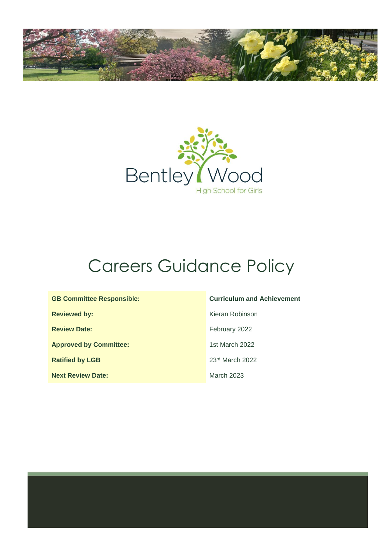



# Careers Guidance Policy

| <b>GB Committee Responsible:</b> |
|----------------------------------|
| <b>Reviewed by:</b>              |
| <b>Review Date:</b>              |
| <b>Approved by Committee:</b>    |
| <b>Ratified by LGB</b>           |
| <b>Next Review Date:</b>         |

#### **Curriculum and Achievement**

**Kieran Robinson February 2022 Approved by Committee:** 1st March 2022 23<sup>rd</sup> March 2022 **March 2023**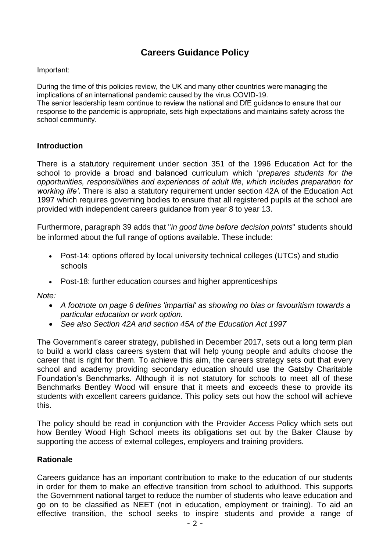# **Careers Guidance Policy**

#### Important:

During the time of this policies review, the UK and many other countries were managing the implications of an international pandemic caused by the virus COVID-19.

The senior leadership team continue to review the national and DfE guidance to ensure that our response to the pandemic is appropriate, sets high expectations and maintains safety across the school community.   

### **Introduction**

There is a statutory requirement under section 351 of the 1996 Education Act for the school to provide a broad and balanced curriculum which '*prepares students for the opportunities, responsibilities and experiences of adult life, which includes preparation for working life'*. There is also a statutory requirement under section 42A of the Education Act 1997 which requires governing bodies to ensure that all registered pupils at the school are provided with independent careers guidance from year 8 to year 13.

Furthermore, paragraph 39 adds that "*in good time before decision points*" students should be informed about the full range of options available. These include:

- Post-14: options offered by local university technical colleges (UTCs) and studio schools
- Post-18: further education courses and higher apprenticeships

*Note:* 

- *A footnote on page 6 defines 'impartial' as showing no bias or favouritism towards a particular education or work option.*
- *See also Section 42A and section 45A of the Education Act 1997*

The Government's career strategy, published in December 2017, sets out a long term plan to build a world class careers system that will help young people and adults choose the career that is right for them. To achieve this aim, the careers strategy sets out that every school and academy providing secondary education should use the Gatsby Charitable Foundation's Benchmarks. Although it is not statutory for schools to meet all of these Benchmarks Bentley Wood will ensure that it meets and exceeds these to provide its students with excellent careers guidance. This policy sets out how the school will achieve this.

The policy should be read in conjunction with the Provider Access Policy which sets out how Bentley Wood High School meets its obligations set out by the Baker Clause by supporting the access of external colleges, employers and training providers.

### **Rationale**

Careers guidance has an important contribution to make to the education of our students in order for them to make an effective transition from school to adulthood. This supports the Government national target to reduce the number of students who leave education and go on to be classified as NEET (not in education, employment or training). To aid an effective transition, the school seeks to inspire students and provide a range of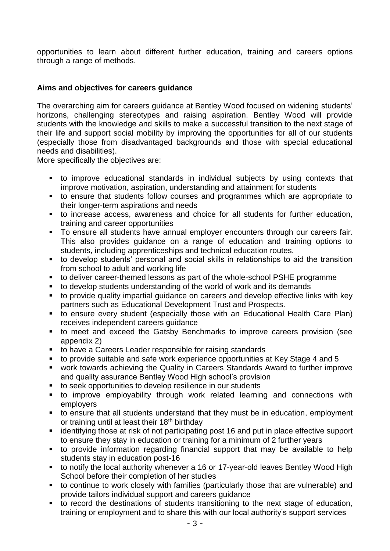opportunities to learn about different further education, training and careers options through a range of methods.

## **Aims and objectives for careers guidance**

The overarching aim for careers guidance at Bentley Wood focused on widening students' horizons, challenging stereotypes and raising aspiration. Bentley Wood will provide students with the knowledge and skills to make a successful transition to the next stage of their life and support social mobility by improving the opportunities for all of our students (especially those from disadvantaged backgrounds and those with special educational needs and disabilities).

More specifically the objectives are:

- to improve educational standards in individual subjects by using contexts that improve motivation, aspiration, understanding and attainment for students
- to ensure that students follow courses and programmes which are appropriate to their longer-term aspirations and needs
- to increase access, awareness and choice for all students for further education, training and career opportunities
- To ensure all students have annual employer encounters through our careers fair. This also provides guidance on a range of education and training options to students, including apprenticeships and technical education routes.
- to develop students' personal and social skills in relationships to aid the transition from school to adult and working life
- to deliver career-themed lessons as part of the whole-school PSHE programme
- to develop students understanding of the world of work and its demands
- to provide quality impartial quidance on careers and develop effective links with key partners such as Educational Development Trust and Prospects.
- to ensure every student (especially those with an Educational Health Care Plan) receives independent careers guidance
- to meet and exceed the Gatsby Benchmarks to improve careers provision (see appendix 2)
- to have a Careers Leader responsible for raising standards
- to provide suitable and safe work experience opportunities at Key Stage 4 and 5
- work towards achieving the Quality in Careers Standards Award to further improve and quality assurance Bentley Wood High school's provision
- to seek opportunities to develop resilience in our students
- to improve employability through work related learning and connections with employers
- to ensure that all students understand that they must be in education, employment or training until at least their 18<sup>th</sup> birthday
- identifying those at risk of not participating post 16 and put in place effective support to ensure they stay in education or training for a minimum of 2 further years
- to provide information regarding financial support that may be available to help students stay in education post-16
- to notify the local authority whenever a 16 or 17-year-old leaves Bentley Wood High School before their completion of her studies
- to continue to work closely with families (particularly those that are vulnerable) and provide tailors individual support and careers guidance
- to record the destinations of students transitioning to the next stage of education, training or employment and to share this with our local authority's support services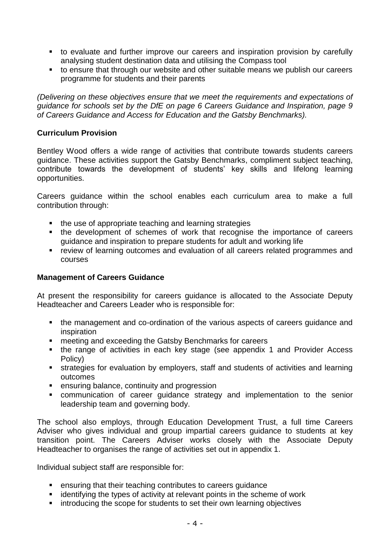- to evaluate and further improve our careers and inspiration provision by carefully analysing student destination data and utilising the Compass tool
- to ensure that through our website and other suitable means we publish our careers programme for students and their parents

*(Delivering on these objectives ensure that we meet the requirements and expectations of guidance for schools set by the DfE on page 6 Careers Guidance and Inspiration, page 9 of Careers Guidance and Access for Education and the Gatsby Benchmarks).*

## **Curriculum Provision**

Bentley Wood offers a wide range of activities that contribute towards students careers guidance. These activities support the Gatsby Benchmarks, compliment subject teaching, contribute towards the development of students' key skills and lifelong learning opportunities.

Careers guidance within the school enables each curriculum area to make a full contribution through:

- the use of appropriate teaching and learning strategies
- the development of schemes of work that recognise the importance of careers guidance and inspiration to prepare students for adult and working life
- review of learning outcomes and evaluation of all careers related programmes and courses

## **Management of Careers Guidance**

At present the responsibility for careers guidance is allocated to the Associate Deputy Headteacher and Careers Leader who is responsible for:

- the management and co-ordination of the various aspects of careers guidance and inspiration
- meeting and exceeding the Gatsby Benchmarks for careers
- the range of activities in each key stage (see appendix 1 and Provider Access Policy)
- **EXECT** strategies for evaluation by employers, staff and students of activities and learning outcomes
- ensuring balance, continuity and progression
- **EX COMMUNICATED COMMUNICATED COMMUNICATES** communication of career quidance strategy and implementation to the senior leadership team and governing body.

The school also employs, through Education Development Trust, a full time Careers Adviser who gives individual and group impartial careers guidance to students at key transition point. The Careers Adviser works closely with the Associate Deputy Headteacher to organises the range of activities set out in appendix 1.

Individual subject staff are responsible for:

- ensuring that their teaching contributes to careers guidance
- identifying the types of activity at relevant points in the scheme of work
- introducing the scope for students to set their own learning objectives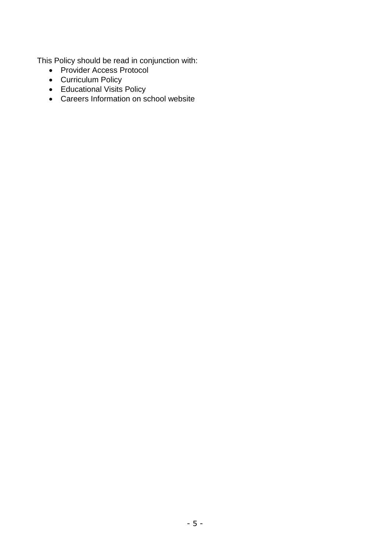This Policy should be read in conjunction with:

- Provider Access Protocol
- Curriculum Policy
- Educational Visits Policy
- Careers Information on school website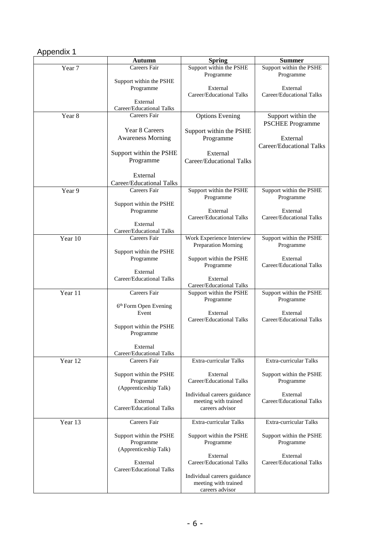# Appendix 1

|         | <b>Autumn</b>                        | <b>Spring</b>                           | <b>Summer</b>                                 |
|---------|--------------------------------------|-----------------------------------------|-----------------------------------------------|
| Year 7  | Careers Fair                         | Support within the PSHE                 | Support within the PSHE                       |
|         | Support within the PSHE              | Programme                               | Programme                                     |
|         | Programme                            | External                                | External                                      |
|         | External                             | Career/Educational Talks                | Career/Educational Talks                      |
|         | Career/Educational Talks             |                                         |                                               |
| Year 8  | Careers Fair                         | <b>Options Evening</b>                  | Support within the<br><b>PSCHEE Programme</b> |
|         | Year 8 Careers                       | Support within the PSHE                 |                                               |
|         | <b>Awareness Morning</b>             | Programme                               | External<br><b>Career/Educational Talks</b>   |
|         | Support within the PSHE              | External                                |                                               |
|         | Programme                            | Career/Educational Talks                |                                               |
|         | External                             |                                         |                                               |
|         | Career/Educational Talks             |                                         |                                               |
| Year 9  | Careers Fair                         | Support within the PSHE                 | Support within the PSHE                       |
|         | Support within the PSHE              | Programme                               | Programme                                     |
|         | Programme                            | External                                | External                                      |
|         | External                             | Career/Educational Talks                | Career/Educational Talks                      |
|         | Career/Educational Talks             |                                         |                                               |
| Year 10 | Careers Fair                         | Work Experience Interview               | Support within the PSHE                       |
|         | Support within the PSHE              | Preparation Morning                     | Programme                                     |
|         | Programme                            | Support within the PSHE                 | External                                      |
|         | External                             | Programme                               | Career/Educational Talks                      |
|         | Career/Educational Talks             | External                                |                                               |
|         |                                      | Career/Educational Talks                |                                               |
| Year 11 | Careers Fair                         | Support within the PSHE<br>Programme    | Support within the PSHE<br>Programme          |
|         | 6th Form Open Evening                |                                         |                                               |
|         | Event                                | External<br>Career/Educational Talks    | External<br>Career/Educational Talks          |
|         | Support within the PSHE<br>Programme |                                         |                                               |
|         | External                             |                                         |                                               |
|         | Career/Educational Talks             |                                         |                                               |
| Year 12 | Careers Fair                         | Extra-curricular Talks                  | Extra-curricular Talks                        |
|         | Support within the PSHE              | External                                | Support within the PSHE                       |
|         | Programme                            | Career/Educational Talks                | Programme                                     |
|         | (Apprenticeship Talk)                | Individual careers guidance             | External                                      |
|         | External                             | meeting with trained                    | Career/Educational Talks                      |
|         | Career/Educational Talks             | careers advisor                         |                                               |
| Year 13 | Careers Fair                         | Extra-curricular Talks                  | Extra-curricular Talks                        |
|         | Support within the PSHE              | Support within the PSHE                 | Support within the PSHE                       |
|         | Programme<br>(Apprenticeship Talk)   | Programme                               | Programme                                     |
|         |                                      | External                                | External                                      |
|         | External<br>Career/Educational Talks | Career/Educational Talks                | Career/Educational Talks                      |
|         |                                      | Individual careers guidance             |                                               |
|         |                                      | meeting with trained<br>careers advisor |                                               |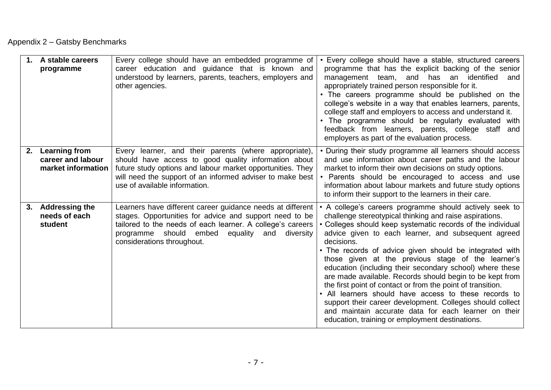# Appendix 2 – Gatsby Benchmarks

|    | 1. A stable careers<br>programme                                | Every college should have an embedded programme of<br>career education and guidance that is known and<br>understood by learners, parents, teachers, employers and<br>other agencies.                                                                                        | • Every college should have a stable, structured careers<br>programme that has the explicit backing of the senior<br>has an identified<br>management team, and<br>and<br>appropriately trained person responsible for it.<br>• The careers programme should be published on the<br>college's website in a way that enables learners, parents,<br>college staff and employers to access and understand it.<br>• The programme should be regularly evaluated with<br>feedback from learners, parents, college staff and<br>employers as part of the evaluation process.                                                                                                                                                                                                                           |
|----|-----------------------------------------------------------------|-----------------------------------------------------------------------------------------------------------------------------------------------------------------------------------------------------------------------------------------------------------------------------|-------------------------------------------------------------------------------------------------------------------------------------------------------------------------------------------------------------------------------------------------------------------------------------------------------------------------------------------------------------------------------------------------------------------------------------------------------------------------------------------------------------------------------------------------------------------------------------------------------------------------------------------------------------------------------------------------------------------------------------------------------------------------------------------------|
| 2. | <b>Learning from</b><br>career and labour<br>market information | Every learner, and their parents (where appropriate),<br>should have access to good quality information about<br>future study options and labour market opportunities. They<br>will need the support of an informed adviser to make best<br>use of available information.   | • During their study programme all learners should access<br>and use information about career paths and the labour<br>market to inform their own decisions on study options.<br>• Parents should be encouraged to access and use<br>information about labour markets and future study options<br>to inform their support to the learners in their care.                                                                                                                                                                                                                                                                                                                                                                                                                                         |
|    | 3. Addressing the<br>needs of each<br>student                   | Learners have different career guidance needs at different<br>stages. Opportunities for advice and support need to be<br>tailored to the needs of each learner. A college's careers<br>programme should embed<br>equality<br>and<br>diversity<br>considerations throughout. | • A college's careers programme should actively seek to<br>challenge stereotypical thinking and raise aspirations.<br>• Colleges should keep systematic records of the individual<br>advice given to each learner, and subsequent agreed<br>decisions.<br>• The records of advice given should be integrated with<br>those given at the previous stage of the learner's<br>education (including their secondary school) where these<br>are made available. Records should begin to be kept from<br>the first point of contact or from the point of transition.<br>• All learners should have access to these records to<br>support their career development. Colleges should collect<br>and maintain accurate data for each learner on their<br>education, training or employment destinations. |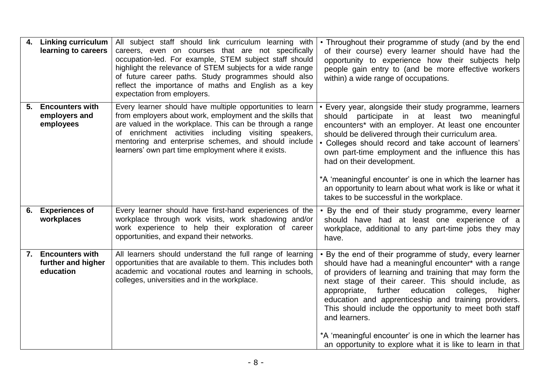| 4. | <b>Linking curriculum</b><br>learning to careers          | All subject staff should link curriculum learning with<br>careers, even on courses that are not specifically<br>occupation-led. For example, STEM subject staff should<br>highlight the relevance of STEM subjects for a wide range<br>of future career paths. Study programmes should also<br>reflect the importance of maths and English as a key<br>expectation from employers. | • Throughout their programme of study (and by the end<br>of their course) every learner should have had the<br>opportunity to experience how their subjects help<br>people gain entry to (and be more effective workers<br>within) a wide range of occupations.                                                                                                                                                                                                                                                                                        |
|----|-----------------------------------------------------------|------------------------------------------------------------------------------------------------------------------------------------------------------------------------------------------------------------------------------------------------------------------------------------------------------------------------------------------------------------------------------------|--------------------------------------------------------------------------------------------------------------------------------------------------------------------------------------------------------------------------------------------------------------------------------------------------------------------------------------------------------------------------------------------------------------------------------------------------------------------------------------------------------------------------------------------------------|
| 5. | <b>Encounters with</b><br>employers and<br>employees      | Every learner should have multiple opportunities to learn<br>from employers about work, employment and the skills that<br>are valued in the workplace. This can be through a range<br>of enrichment activities including visiting speakers,<br>mentoring and enterprise schemes, and should include<br>learners' own part time employment where it exists.                         | Every year, alongside their study programme, learners<br>should participate in at least two meaningful<br>encounters* with an employer. At least one encounter<br>should be delivered through their curriculum area.<br>Colleges should record and take account of learners'<br>own part-time employment and the influence this has<br>had on their development.<br>*A 'meaningful encounter' is one in which the learner has<br>an opportunity to learn about what work is like or what it<br>takes to be successful in the workplace.                |
| 6. | <b>Experiences of</b><br>workplaces                       | Every learner should have first-hand experiences of the<br>workplace through work visits, work shadowing and/or<br>work experience to help their exploration of career<br>opportunities, and expand their networks.                                                                                                                                                                | • By the end of their study programme, every learner<br>should have had at least one experience of a<br>workplace, additional to any part-time jobs they may<br>have.                                                                                                                                                                                                                                                                                                                                                                                  |
| 7. | <b>Encounters with</b><br>further and higher<br>education | All learners should understand the full range of learning<br>opportunities that are available to them. This includes both<br>academic and vocational routes and learning in schools,<br>colleges, universities and in the workplace.                                                                                                                                               | By the end of their programme of study, every learner<br>should have had a meaningful encounter* with a range<br>of providers of learning and training that may form the<br>next stage of their career. This should include, as<br>appropriate, further education<br>colleges,<br>higher<br>education and apprenticeship and training providers.<br>This should include the opportunity to meet both staff<br>and learners.<br>*A 'meaningful encounter' is one in which the learner has<br>an opportunity to explore what it is like to learn in that |